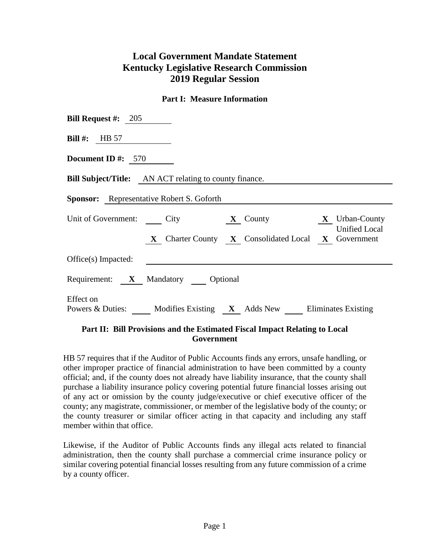## **Local Government Mandate Statement Kentucky Legislative Research Commission 2019 Regular Session**

## **Part I: Measure Information**

| <b>Bill Request #:</b> 205                                                                                                                   |  |  |  |  |  |  |
|----------------------------------------------------------------------------------------------------------------------------------------------|--|--|--|--|--|--|
| Bill #: $HB 57$                                                                                                                              |  |  |  |  |  |  |
| Document ID #: $570$                                                                                                                         |  |  |  |  |  |  |
| <b>Bill Subject/Title:</b> AN ACT relating to county finance.                                                                                |  |  |  |  |  |  |
| <b>Sponsor:</b> Representative Robert S. Goforth                                                                                             |  |  |  |  |  |  |
| Unit of Government: City <b>X</b> County <b>X</b> Urban-County<br><b>Unified Local</b><br>X Charter County X Consolidated Local X Government |  |  |  |  |  |  |
| Office(s) Impacted:                                                                                                                          |  |  |  |  |  |  |
| Requirement: X Mandatory Optional                                                                                                            |  |  |  |  |  |  |
| Effect on<br>Powers & Duties: Modifies Existing X Adds New Eliminates Existing                                                               |  |  |  |  |  |  |

## **Part II: Bill Provisions and the Estimated Fiscal Impact Relating to Local Government**

HB 57 requires that if the Auditor of Public Accounts finds any errors, unsafe handling, or other improper practice of financial administration to have been committed by a county official; and, if the county does not already have liability insurance, that the county shall purchase a liability insurance policy covering potential future financial losses arising out of any act or omission by the county judge/executive or chief executive officer of the county; any magistrate, commissioner, or member of the legislative body of the county; or the county treasurer or similar officer acting in that capacity and including any staff member within that office.

Likewise, if the Auditor of Public Accounts finds any illegal acts related to financial administration, then the county shall purchase a commercial crime insurance policy or similar covering potential financial losses resulting from any future commission of a crime by a county officer.